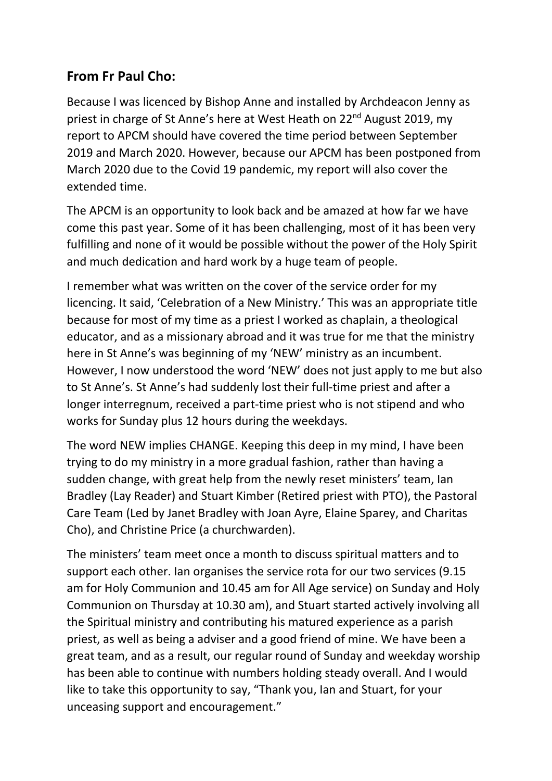## **From Fr Paul Cho:**

Because I was licenced by Bishop Anne and installed by Archdeacon Jenny as priest in charge of St Anne's here at West Heath on 22<sup>nd</sup> August 2019, my report to APCM should have covered the time period between September 2019 and March 2020. However, because our APCM has been postponed from March 2020 due to the Covid 19 pandemic, my report will also cover the extended time.

The APCM is an opportunity to look back and be amazed at how far we have come this past year. Some of it has been challenging, most of it has been very fulfilling and none of it would be possible without the power of the Holy Spirit and much dedication and hard work by a huge team of people.

I remember what was written on the cover of the service order for my licencing. It said, 'Celebration of a New Ministry.' This was an appropriate title because for most of my time as a priest I worked as chaplain, a theological educator, and as a missionary abroad and it was true for me that the ministry here in St Anne's was beginning of my 'NEW' ministry as an incumbent. However, I now understood the word 'NEW' does not just apply to me but also to St Anne's. St Anne's had suddenly lost their full-time priest and after a longer interregnum, received a part-time priest who is not stipend and who works for Sunday plus 12 hours during the weekdays.

The word NEW implies CHANGE. Keeping this deep in my mind, I have been trying to do my ministry in a more gradual fashion, rather than having a sudden change, with great help from the newly reset ministers' team, Ian Bradley (Lay Reader) and Stuart Kimber (Retired priest with PTO), the Pastoral Care Team (Led by Janet Bradley with Joan Ayre, Elaine Sparey, and Charitas Cho), and Christine Price (a churchwarden).

The ministers' team meet once a month to discuss spiritual matters and to support each other. Ian organises the service rota for our two services (9.15 am for Holy Communion and 10.45 am for All Age service) on Sunday and Holy Communion on Thursday at 10.30 am), and Stuart started actively involving all the Spiritual ministry and contributing his matured experience as a parish priest, as well as being a adviser and a good friend of mine. We have been a great team, and as a result, our regular round of Sunday and weekday worship has been able to continue with numbers holding steady overall. And I would like to take this opportunity to say, "Thank you, Ian and Stuart, for your unceasing support and encouragement."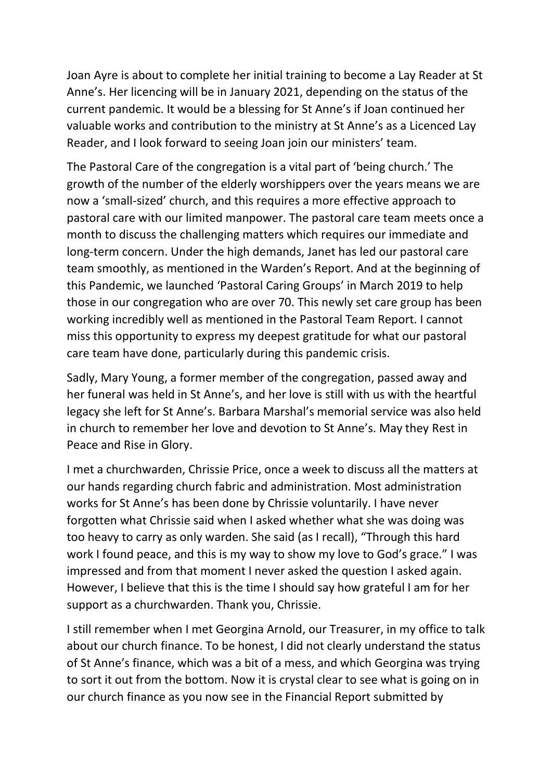Joan Ayre is about to complete her initial training to become a Lay Reader at St Anne's. Her licencing will be in January 2021, depending on the status of the current pandemic. It would be a blessing for St Anne's if Joan continued her valuable works and contribution to the ministry at St Anne's as a Licenced Lay Reader, and I look forward to seeing Joan join our ministers' team.

The Pastoral Care of the congregation is a vital part of 'being church.' The growth of the number of the elderly worshippers over the years means we are now a 'small-sized' church, and this requires a more effective approach to pastoral care with our limited manpower. The pastoral care team meets once a month to discuss the challenging matters which requires our immediate and long-term concern. Under the high demands, Janet has led our pastoral care team smoothly, as mentioned in the Warden's Report. And at the beginning of this Pandemic, we launched 'Pastoral Caring Groups' in March 2019 to help those in our congregation who are over 70. This newly set care group has been working incredibly well as mentioned in the Pastoral Team Report. I cannot miss this opportunity to express my deepest gratitude for what our pastoral care team have done, particularly during this pandemic crisis.

Sadly, Mary Young, a former member of the congregation, passed away and her funeral was held in St Anne's, and her love is still with us with the heartful legacy she left for St Anne's. Barbara Marshal's memorial service was also held in church to remember her love and devotion to St Anne's. May they Rest in Peace and Rise in Glory.

I met a churchwarden, Chrissie Price, once a week to discuss all the matters at our hands regarding church fabric and administration. Most administration works for St Anne's has been done by Chrissie voluntarily. I have never forgotten what Chrissie said when I asked whether what she was doing was too heavy to carry as only warden. She said (as I recall), "Through this hard work I found peace, and this is my way to show my love to God's grace." I was impressed and from that moment I never asked the question I asked again. However, I believe that this is the time I should say how grateful I am for her support as a churchwarden. Thank you, Chrissie.

I still remember when I met Georgina Arnold, our Treasurer, in my office to talk about our church finance. To be honest, I did not clearly understand the status of St Anne's finance, which was a bit of a mess, and which Georgina was trying to sort it out from the bottom. Now it is crystal clear to see what is going on in our church finance as you now see in the Financial Report submitted by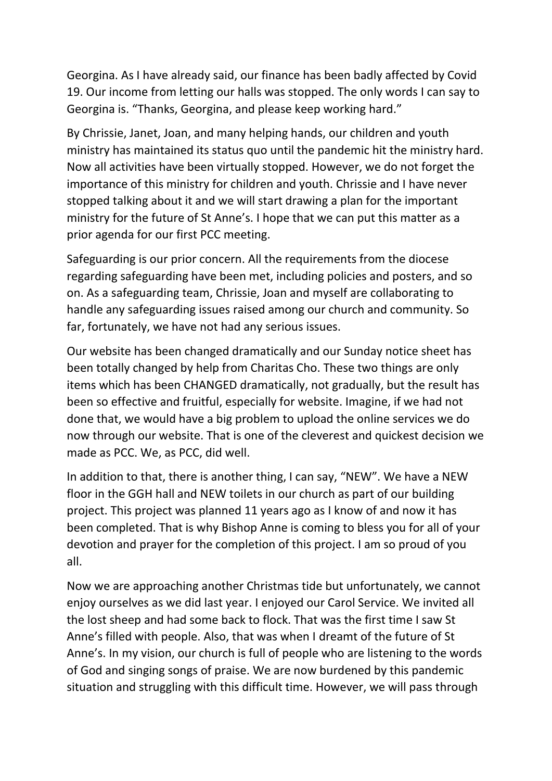Georgina. As I have already said, our finance has been badly affected by Covid 19. Our income from letting our halls was stopped. The only words I can say to Georgina is. "Thanks, Georgina, and please keep working hard."

By Chrissie, Janet, Joan, and many helping hands, our children and youth ministry has maintained its status quo until the pandemic hit the ministry hard. Now all activities have been virtually stopped. However, we do not forget the importance of this ministry for children and youth. Chrissie and I have never stopped talking about it and we will start drawing a plan for the important ministry for the future of St Anne's. I hope that we can put this matter as a prior agenda for our first PCC meeting.

Safeguarding is our prior concern. All the requirements from the diocese regarding safeguarding have been met, including policies and posters, and so on. As a safeguarding team, Chrissie, Joan and myself are collaborating to handle any safeguarding issues raised among our church and community. So far, fortunately, we have not had any serious issues.

Our website has been changed dramatically and our Sunday notice sheet has been totally changed by help from Charitas Cho. These two things are only items which has been CHANGED dramatically, not gradually, but the result has been so effective and fruitful, especially for website. Imagine, if we had not done that, we would have a big problem to upload the online services we do now through our website. That is one of the cleverest and quickest decision we made as PCC. We, as PCC, did well.

In addition to that, there is another thing, I can say, "NEW". We have a NEW floor in the GGH hall and NEW toilets in our church as part of our building project. This project was planned 11 years ago as I know of and now it has been completed. That is why Bishop Anne is coming to bless you for all of your devotion and prayer for the completion of this project. I am so proud of you all.

Now we are approaching another Christmas tide but unfortunately, we cannot enjoy ourselves as we did last year. I enjoyed our Carol Service. We invited all the lost sheep and had some back to flock. That was the first time I saw St Anne's filled with people. Also, that was when I dreamt of the future of St Anne's. In my vision, our church is full of people who are listening to the words of God and singing songs of praise. We are now burdened by this pandemic situation and struggling with this difficult time. However, we will pass through